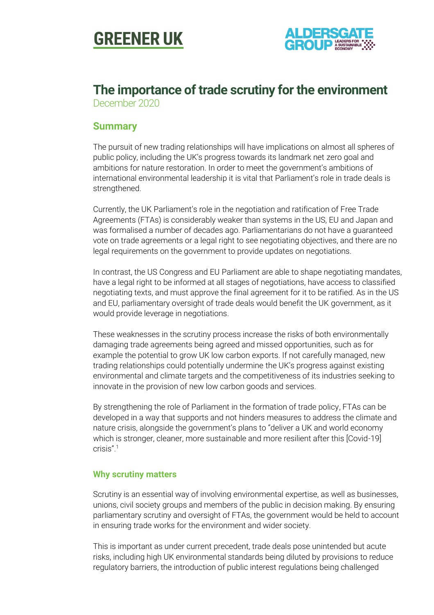



## **The importance of trade scrutiny for the environment** December 2020

## **Summary**

The pursuit of new trading relationships will have implications on almost all spheres of public policy, including the UK's progress towards its landmark net zero goal and ambitions for nature restoration. In order to meet the government's ambitions of international environmental leadership it is vital that Parliament's role in trade deals is strengthened.

Currently, the UK Parliament's role in the negotiation and ratification of Free Trade Agreements (FTAs) is considerably weaker than systems in the US, EU and Japan and was formalised a number of decades ago. Parliamentarians do not have a guaranteed vote on trade agreements or a legal right to see negotiating objectives, and there are no legal requirements on the government to provide updates on negotiations.

In contrast, the US Congress and EU Parliament are able to shape negotiating mandates, have a legal right to be informed at all stages of negotiations, have access to classified negotiating texts, and must approve the final agreement for it to be ratified. As in the US and EU, parliamentary oversight of trade deals would benefit the UK government, as it would provide leverage in negotiations.

These weaknesses in the scrutiny process increase the risks of both environmentally damaging trade agreements being agreed and missed opportunities, such as for example the potential to grow UK low carbon exports. If not carefully managed, new trading relationships could potentially undermine the UK's progress against existing environmental and climate targets and the competitiveness of its industries seeking to innovate in the provision of new low carbon goods and services.

By strengthening the role of Parliament in the formation of trade policy, FTAs can be developed in a way that supports and not hinders measures to address the climate and nature crisis, alongside the government's plans to "deliver a UK and world economy which is stronger, cleaner, more sustainable and more resilient after this [Covid-19] crisis".<sup>1</sup>

#### **Why scrutiny matters**

Scrutiny is an essential way of involving environmental expertise, as well as businesses, unions, civil society groups and members of the public in decision making. By ensuring parliamentary scrutiny and oversight of FTAs, the government would be held to account in ensuring trade works for the environment and wider society.

This is important as under current precedent, trade deals pose unintended but acute risks, including high UK environmental standards being diluted by provisions to reduce regulatory barriers, the introduction of public interest regulations being challenged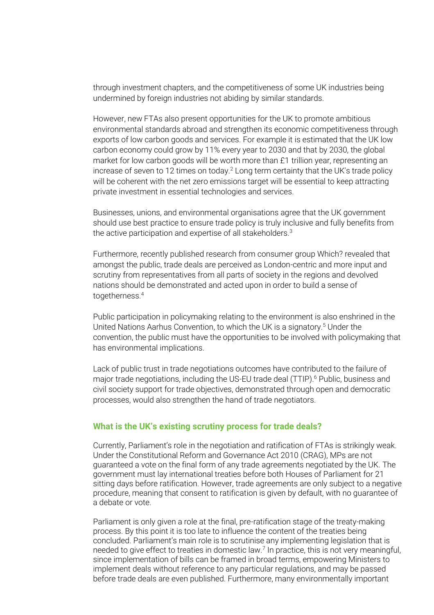through investment chapters, and the competitiveness of some UK industries being undermined by foreign industries not abiding by similar standards.

However, new FTAs also present opportunities for the UK to promote ambitious environmental standards abroad and strengthen its economic competitiveness through exports of low carbon goods and services. For example it is estimated that the UK low carbon economy could grow by 11% every year to 2030 and that by 2030, the global market for low carbon goods will be worth more than £1 trillion year, representing an increase of seven to 12 times on today.<sup>2</sup> Long term certainty that the UK's trade policy will be coherent with the net zero emissions target will be essential to keep attracting private investment in essential technologies and services.

Businesses, unions, and environmental organisations agree that the UK government should use best practice to ensure trade policy is truly inclusive and fully benefits from the active participation and expertise of all stakeholders. $^3$ 

Furthermore, recently published research from consumer group Which? revealed that amongst the public, trade deals are perceived as London-centric and more input and scrutiny from representatives from all parts of society in the regions and devolved nations should be demonstrated and acted upon in order to build a sense of togetherness.<sup>4</sup>

Public participation in policymaking relating to the environment is also enshrined in the United Nations Aarhus Convention, to which the UK is a signatory.<sup>5</sup> Under the convention, the public must have the opportunities to be involved with policymaking that has environmental implications.

Lack of public trust in trade negotiations outcomes have contributed to the failure of major trade negotiations, including the US-EU trade deal (TTIP).<sup>6</sup> Public, business and civil society support for trade objectives, demonstrated through open and democratic processes, would also strengthen the hand of trade negotiators.

#### **What is the UK's existing scrutiny process for trade deals?**

Currently, Parliament's role in the negotiation and ratification of FTAs is strikingly weak. Under the Constitutional Reform and Governance Act 2010 (CRAG), MPs are not guaranteed a vote on the final form of any trade agreements negotiated by the UK. The government must lay international treaties before both Houses of Parliament for 21 sitting days before ratification. However, trade agreements are only subject to a negative procedure, meaning that consent to ratification is given by default, with no guarantee of a debate or vote.

Parliament is only given a role at the final, pre-ratification stage of the treaty-making process. By this point it is too late to influence the content of the treaties being concluded. Parliament's main role is to scrutinise any implementing legislation that is needed to give effect to treaties in domestic law.<sup>7</sup> In practice, this is not very meaningful, since implementation of bills can be framed in broad terms, empowering Ministers to implement deals without reference to any particular regulations, and may be passed before trade deals are even published. Furthermore, many environmentally important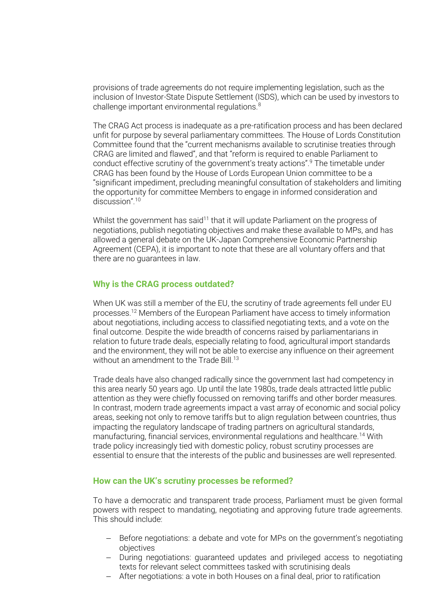provisions of trade agreements do not require implementing legislation, such as the inclusion of Investor-State Dispute Settlement (ISDS), which can be used by investors to challenge important environmental regulations.<sup>8</sup>

The CRAG Act process is inadequate as a pre-ratification process and has been declared unfit for purpose by several parliamentary committees. The House of Lords Constitution Committee found that the "current mechanisms available to scrutinise treaties through CRAG are limited and flawed", and that "reform is required to enable Parliament to conduct effective scrutiny of the government's treaty actions".<sup>9</sup> The timetable under CRAG has been found by the House of Lords European Union committee to be a "significant impediment, precluding meaningful consultation of stakeholders and limiting the opportunity for committee Members to engage in informed consideration and discussion".<sup>10</sup>

Whilst the government has said<sup>11</sup> that it will update Parliament on the progress of negotiations, publish negotiating objectives and make these available to MPs, and has allowed a general debate on the UK-Japan Comprehensive Economic Partnership Agreement (CEPA), it is important to note that these are all voluntary offers and that there are no guarantees in law.

#### **Why is the CRAG process outdated?**

When UK was still a member of the EU, the scrutiny of trade agreements fell under EU processes.<sup>12</sup> Members of the European Parliament have access to timely information about negotiations, including access to classified negotiating texts, and a vote on the final outcome. Despite the wide breadth of concerns raised by parliamentarians in relation to future trade deals, especially relating to food, agricultural import standards and the environment, they will not be able to exercise any influence on their agreement without an amendment to the Trade Bill.<sup>13</sup>

Trade deals have also changed radically since the government last had competency in this area nearly 50 years ago. Up until the late 1980s, trade deals attracted little public attention as they were chiefly focussed on removing tariffs and other border measures. In contrast, modern trade agreements impact a vast array of economic and social policy areas, seeking not only to remove tariffs but to align regulation between countries, thus impacting the regulatory landscape of trading partners on agricultural standards, manufacturing, financial services, environmental regulations and healthcare.<sup>14</sup> With trade policy increasingly tied with domestic policy, robust scrutiny processes are essential to ensure that the interests of the public and businesses are well represented.

#### **How can the UK's scrutiny processes be reformed?**

To have a democratic and transparent trade process, Parliament must be given formal powers with respect to mandating, negotiating and approving future trade agreements. This should include:

- − Before negotiations: a debate and vote for MPs on the government's negotiating objectives
- − During negotiations: guaranteed updates and privileged access to negotiating texts for relevant select committees tasked with scrutinising deals
- − After negotiations: a vote in both Houses on a final deal, prior to ratification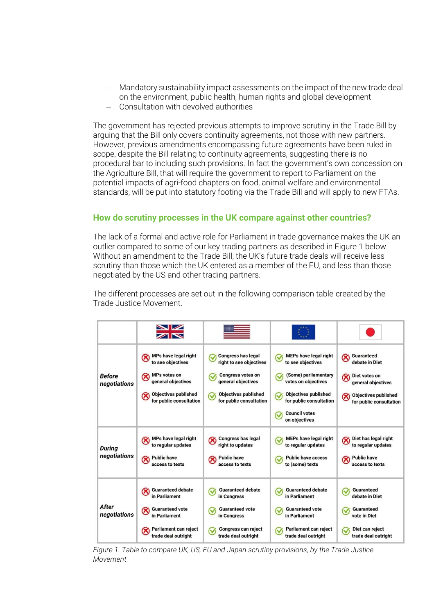- − Mandatory sustainability impact assessments on the impact of the new trade deal on the environment, public health, human rights and global development
- − Consultation with devolved authorities

The government has rejected previous attempts to improve scrutiny in the Trade Bill by arguing that the Bill only covers continuity agreements, not those with new partners. However, previous amendments encompassing future agreements have been ruled in scope, despite the Bill relating to continuity agreements, suggesting there is no procedural bar to including such provisions. In fact the government's own concession on the Agriculture Bill, that will require the government to report to Parliament on the potential impacts of agri-food chapters on food, animal welfare and environmental standards, will be put into statutory footing via the Trade Bill and will apply to new FTAs.

### **How do scrutiny processes in the UK compare against other countries?**

The lack of a formal and active role for Parliament in trade governance makes the UK an outlier compared to some of our key trading partners as described in Figure 1 below. Without an amendment to the Trade Bill, the UK's future trade deals will receive less scrutiny than those which the UK entered as a member of the EU, and less than those negotiated by the US and other trading partners.

The different processes are set out in the following comparison table created by the Trade Justice Movement.

|                               | $\blacksquare$                                                                                                                                                           |                                                                                                                                                                                  |                                                                                                                                                                                                                               |                                                                                                                                                            |
|-------------------------------|--------------------------------------------------------------------------------------------------------------------------------------------------------------------------|----------------------------------------------------------------------------------------------------------------------------------------------------------------------------------|-------------------------------------------------------------------------------------------------------------------------------------------------------------------------------------------------------------------------------|------------------------------------------------------------------------------------------------------------------------------------------------------------|
| <b>Before</b><br>negotiations | MPs have legal right<br>$\infty$<br>to see objectives<br><b>MPs votes on</b><br>$\infty$<br>general objectives<br><b>Objectives published</b><br>for public consultation | <b>Congress has legal</b><br>right to see objectives<br><b>Congress votes on</b><br>$\checkmark$<br>general objectives<br><b>Objectives published</b><br>for public consultation | <b>MEPs have legal right</b><br>V<br>to see objectives<br>(Some) parliamentary<br>ᢦ<br>votes on objectives<br><b>Objectives published</b><br>$\checkmark$<br>for public consultation<br><b>Council votes</b><br>on objectives | Guaranteed<br>$\infty$<br>debate in Diet<br>Diet votes on<br>$\infty$<br>general objectives<br><b>Objectives published</b><br>⊗<br>for public consultation |
| During<br>negotiations        | MPs have legal right<br>to regular updates<br><b>Public have</b><br>$\infty$<br>access to texts                                                                          | <b>Congress has legal</b><br>right to updates<br><b>Public have</b><br>access to texts                                                                                           | MEPs have legal right<br>to regular updates<br><b>Public have access</b><br>to (some) texts                                                                                                                                   | Diet has legal right<br>Q<br>to regular updates<br><b>Public have</b><br>access to texts                                                                   |
| After<br>negotiations         | <b>Guaranteed debate</b><br>in Parliament<br><b>Guaranteed vote</b><br>$\infty$<br>in Parliament<br>Parliament can reject<br>trade deal outright                         | <b>Guaranteed debate</b><br>in Congress<br><b>Guaranteed vote</b><br>in Congress<br><b>Congress can reject</b><br>trade deal outright                                            | <b>Guaranteed debate</b><br>in Parliament<br><b>Guaranteed vote</b><br>in Parliament<br>Parliament can reject<br>trade deal outright                                                                                          | Guaranteed<br>debate in Diet<br>Guaranteed<br>$\checkmark$<br>vote in Diet<br>Diet can reject<br>trade deal outright                                       |

*Figure 1. Table to compare UK, US, EU and Japan scrutiny provisions, by the Trade Justice Movement*